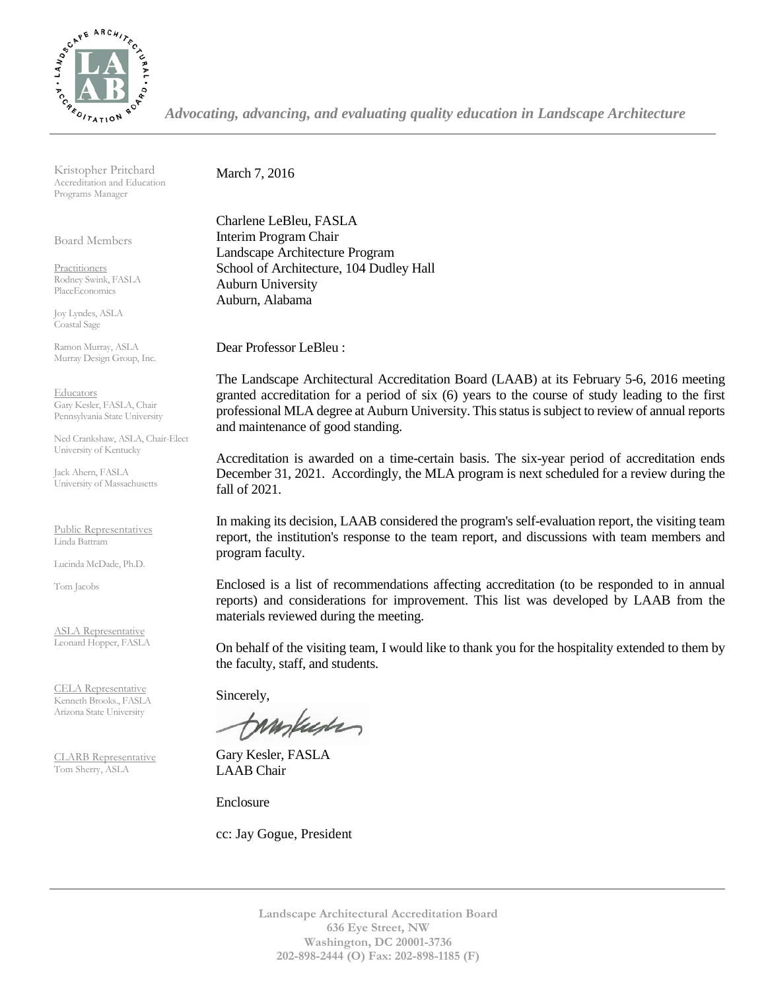

*Advocating, advancing, and evaluating quality education in Landscape Architecture*

Kristopher Pritchard Accreditation and Education Programs Manager

Board Members

Practitioners Rodney Swink, FASLA PlaceEconomics

Joy Lyndes, ASLA Coastal Sage

Ramon Murray, ASLA Murray Design Group, Inc.

Educators Gary Kesler, FASLA, Chair Pennsylvania State University

Ned Crankshaw, ASLA, Chair-Elect University of Kentucky

Jack Ahern, FASLA University of Massachusetts

Public Representatives Linda Battram

Lucinda McDade, Ph.D.

Tom Jacobs

ASLA Representative Leonard Hopper, FASLA

CELA Representative Kenneth Brooks., FASLA Arizona State University

CLARB Representative Tom Sherry, ASLA

March 7, 2016

Charlene LeBleu, FASLA Interim Program Chair Landscape Architecture Program School of Architecture, 104 Dudley Hall Auburn University Auburn, Alabama

Dear Professor LeBleu :

The Landscape Architectural Accreditation Board (LAAB) at its February 5-6, 2016 meeting granted accreditation for a period of six (6) years to the course of study leading to the first professional MLA degree at Auburn University. This status is subject to review of annual reports and maintenance of good standing.

Accreditation is awarded on a time-certain basis. The six-year period of accreditation ends December 31, 2021. Accordingly, the MLA program is next scheduled for a review during the fall of 2021.

In making its decision, LAAB considered the program's self-evaluation report, the visiting team report, the institution's response to the team report, and discussions with team members and program faculty.

Enclosed is a list of recommendations affecting accreditation (to be responded to in annual reports) and considerations for improvement. This list was developed by LAAB from the materials reviewed during the meeting.

On behalf of the visiting team, I would like to thank you for the hospitality extended to them by the faculty, staff, and students.

Sincerely,

tampuser

Gary Kesler, FASLA LAAB Chair

Enclosure

cc: Jay Gogue, President

**Landscape Architectural Accreditation Board 636 Eye Street, NW Washington, DC 20001-3736 202-898-2444 (O) Fax: 202-898-1185 (F)**